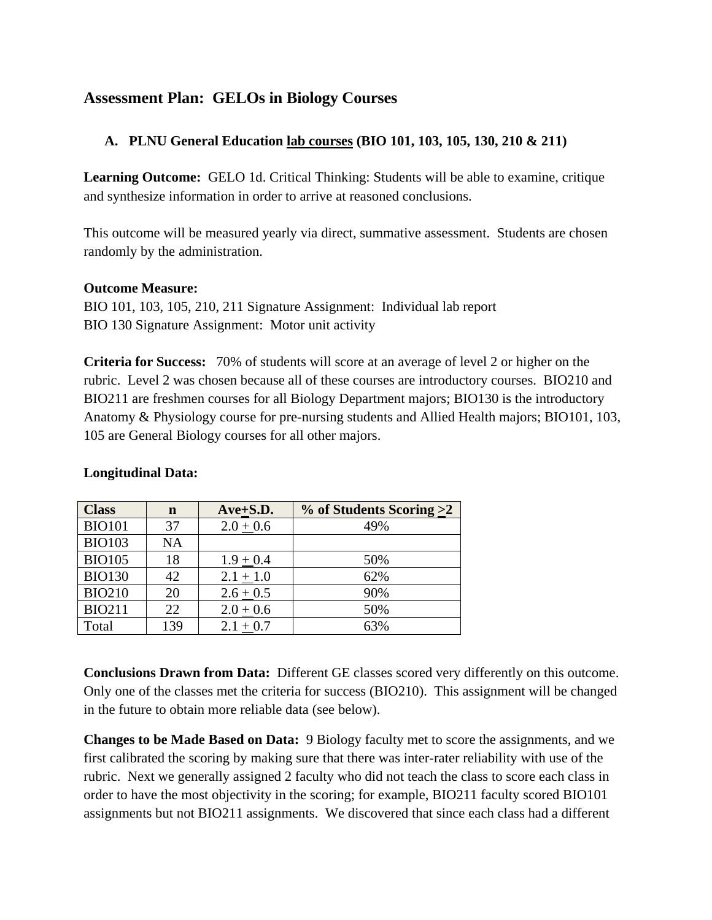# **Assessment Plan: GELOs in Biology Courses**

## **A. PLNU General Education lab courses (BIO 101, 103, 105, 130, 210 & 211)**

**Learning Outcome:**GELO 1d. Critical Thinking: Students will be able to examine, critique and synthesize information in order to arrive at reasoned conclusions.

This outcome will be measured yearly via direct, summative assessment. Students are chosen randomly by the administration.

#### **Outcome Measure:**

BIO 101, 103, 105, 210, 211 Signature Assignment: Individual lab report BIO 130 Signature Assignment: Motor unit activity

**Criteria for Success:** 70% of students will score at an average of level 2 or higher on the rubric. Level 2 was chosen because all of these courses are introductory courses. BIO210 and BIO211 are freshmen courses for all Biology Department majors; BIO130 is the introductory Anatomy & Physiology course for pre-nursing students and Allied Health majors; BIO101, 103, 105 are General Biology courses for all other majors.

| <b>Class</b>  | $\mathbf n$ | $Ave+S.D.$  | $\%$ of Students Scoring >2 |
|---------------|-------------|-------------|-----------------------------|
| <b>BIO101</b> | 37          | $2.0 + 0.6$ | 49%                         |
| <b>BIO103</b> | <b>NA</b>   |             |                             |
| <b>BIO105</b> | 18          | $1.9 + 0.4$ | 50%                         |
| <b>BIO130</b> | 42          | $2.1 + 1.0$ | 62%                         |
| <b>BIO210</b> | 20          | $2.6 + 0.5$ | 90%                         |
| <b>BIO211</b> | 22          | $2.0 + 0.6$ | 50%                         |
| Total         | 139         | $2.1 + 0.7$ | 63%                         |

### **Longitudinal Data:**

**Conclusions Drawn from Data:** Different GE classes scored very differently on this outcome. Only one of the classes met the criteria for success (BIO210). This assignment will be changed in the future to obtain more reliable data (see below).

**Changes to be Made Based on Data:** 9 Biology faculty met to score the assignments, and we first calibrated the scoring by making sure that there was inter-rater reliability with use of the rubric. Next we generally assigned 2 faculty who did not teach the class to score each class in order to have the most objectivity in the scoring; for example, BIO211 faculty scored BIO101 assignments but not BIO211 assignments. We discovered that since each class had a different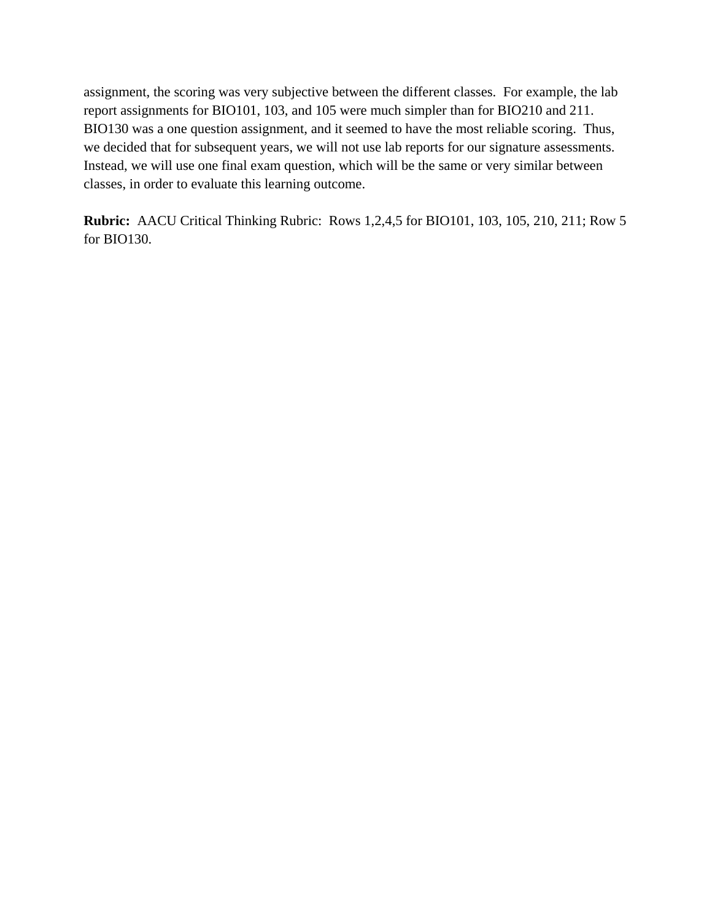assignment, the scoring was very subjective between the different classes. For example, the lab report assignments for BIO101, 103, and 105 were much simpler than for BIO210 and 211. BIO130 was a one question assignment, and it seemed to have the most reliable scoring. Thus, we decided that for subsequent years, we will not use lab reports for our signature assessments. Instead, we will use one final exam question, which will be the same or very similar between classes, in order to evaluate this learning outcome.

**Rubric:** AACU Critical Thinking Rubric: Rows 1,2,4,5 for BIO101, 103, 105, 210, 211; Row 5 for BIO130.